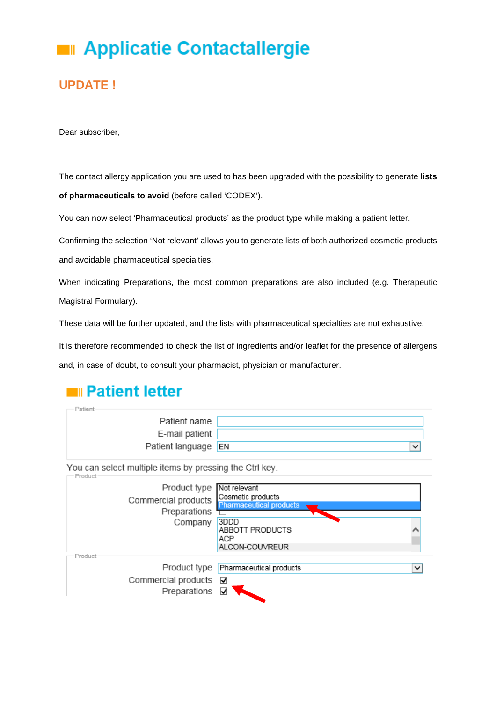## **RET Applicatie Contactallergie**

## **UPDATE !**

Dear subscriber,

The contact allergy application you are used to has been upgraded with the possibility to generate **lists of pharmaceuticals to avoid** (before called 'CODEX').

You can now select 'Pharmaceutical products' as the product type while making a patient letter.

Confirming the selection 'Not relevant' allows you to generate lists of both authorized cosmetic products and avoidable pharmaceutical specialties.

When indicating Preparations, the most common preparations are also included (e.g. Therapeutic Magistral Formulary).

These data will be further updated, and the lists with pharmaceutical specialties are not exhaustive.

It is therefore recommended to check the list of ingredients and/or leaflet for the presence of allergens and, in case of doubt, to consult your pharmacist, physician or manufacturer.

## **E** Patient letter

- Product

| Patient             |  |
|---------------------|--|
| Patient name        |  |
| E-mail patient      |  |
| Patient language EN |  |

You can select multiple items by pressing the Ctrl key.

| Product | Product type<br>Commercial products<br>Preparations<br>Company           | Not relevant<br>Cosmetic products<br><b>Pharmaceutical products</b><br>3DDD<br>ABBOTT PRODUCTS<br>ACP<br>ALCON-COUVREUR |             |
|---------|--------------------------------------------------------------------------|-------------------------------------------------------------------------------------------------------------------------|-------------|
|         | Product type<br>Commercial products <b>☑</b><br>Preparations $\boxtimes$ | Pharmaceutical products                                                                                                 | $\check{ }$ |